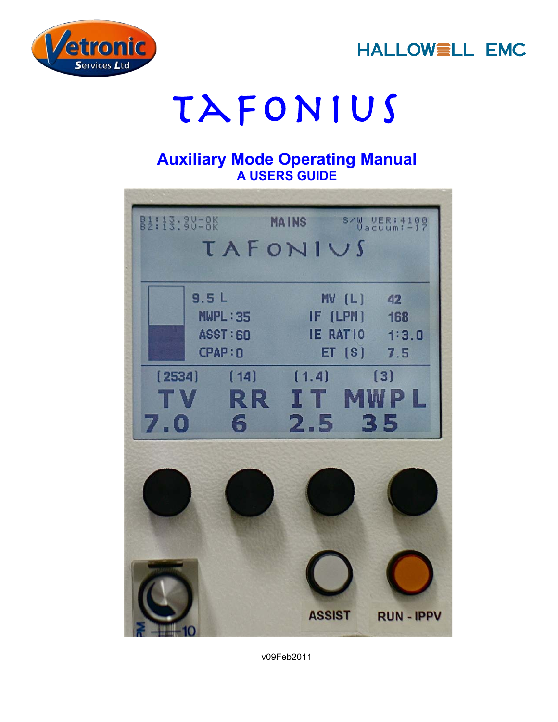



# TAFONIUS

## **Auxiliary Mode Operating Manual A USERS GUIDE**



v09Feb2011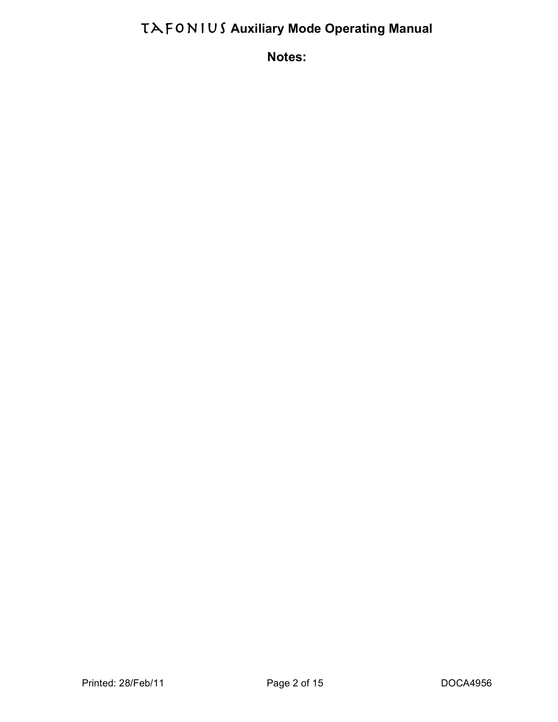**Notes:**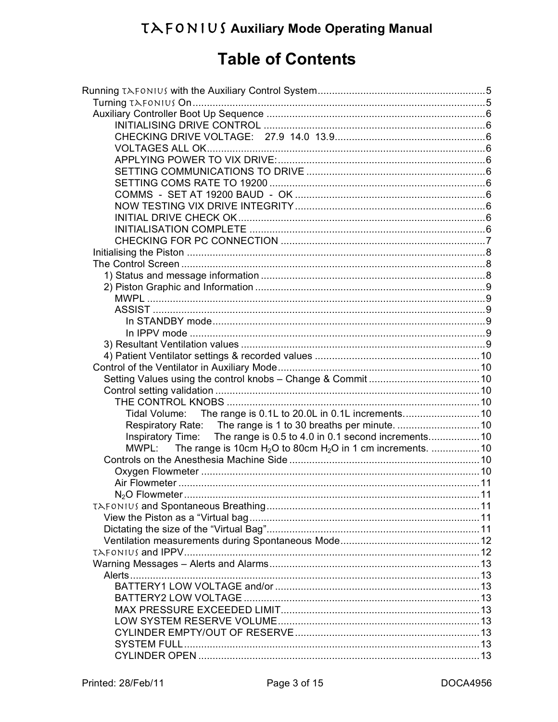# **Table of Contents**

| Inspiratory Time: The range is 0.5 to 4.0 in 0.1 second increments10 |  |  |  |
|----------------------------------------------------------------------|--|--|--|
| MWPL: The range is 10cm $H_2O$ to 80cm $H_2O$ in 1 cm increments. 10 |  |  |  |
|                                                                      |  |  |  |
|                                                                      |  |  |  |
|                                                                      |  |  |  |
|                                                                      |  |  |  |
|                                                                      |  |  |  |
|                                                                      |  |  |  |
|                                                                      |  |  |  |
|                                                                      |  |  |  |
|                                                                      |  |  |  |
|                                                                      |  |  |  |
|                                                                      |  |  |  |
|                                                                      |  |  |  |
|                                                                      |  |  |  |
|                                                                      |  |  |  |
|                                                                      |  |  |  |
|                                                                      |  |  |  |
|                                                                      |  |  |  |
|                                                                      |  |  |  |
|                                                                      |  |  |  |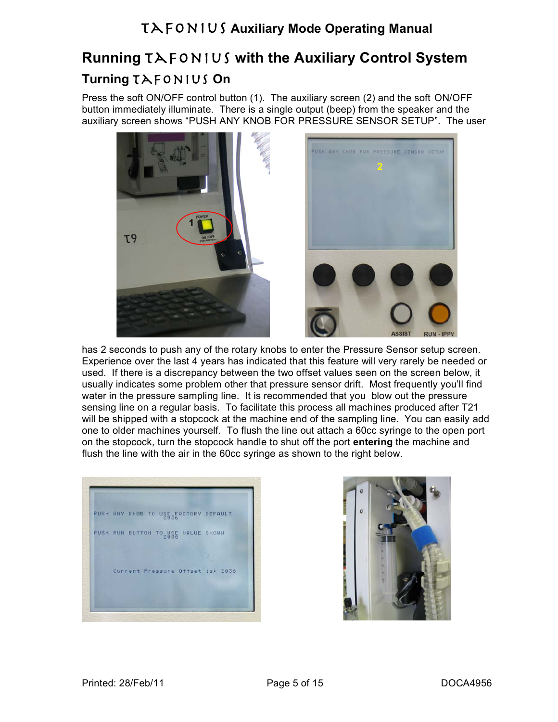# **Running** Tafonius **with the Auxiliary Control System Turning** Tafonius **On**

Press the soft ON/OFF control button (1). The auxiliary screen (2) and the soft ON/OFF button immediately illuminate. There is a single output (beep) from the speaker and the auxiliary screen shows "PUSH ANY KNOB FOR PRESSURE SENSOR SETUP". The user



has 2 seconds to push any of the rotary knobs to enter the Pressure Sensor setup screen. Experience over the last 4 years has indicated that this feature will very rarely be needed or used. If there is a discrepancy between the two offset values seen on the screen below, it usually indicates some problem other that pressure sensor drift. Most frequently you'll find water in the pressure sampling line. It is recommended that you blow out the pressure sensing line on a regular basis. To facilitate this process all machines produced after T21 will be shipped with a stopcock at the machine end of the sampling line. You can easily add one to older machines yourself. To flush the line out attach a 60cc syringe to the open port on the stopcock, turn the stopcock handle to shut off the port **entering** the machine and flush the line with the air in the 60cc syringe as shown to the right below.



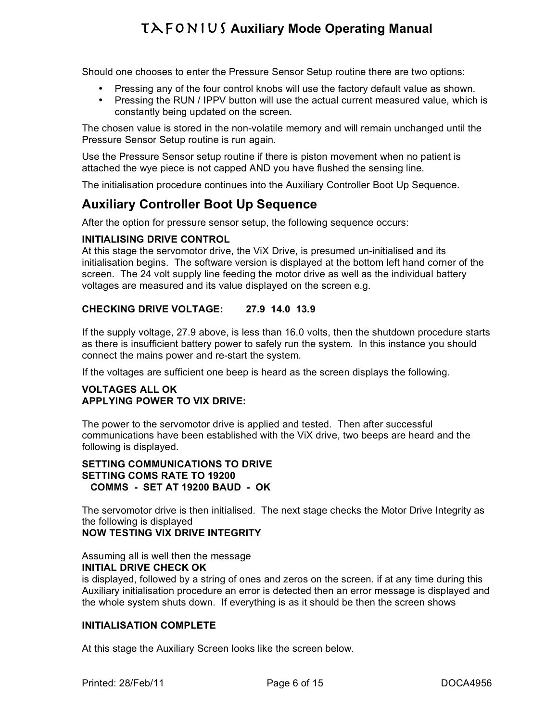Should one chooses to enter the Pressure Sensor Setup routine there are two options:

- Pressing any of the four control knobs will use the factory default value as shown.
- Pressing the RUN / IPPV button will use the actual current measured value, which is constantly being updated on the screen.

The chosen value is stored in the non-volatile memory and will remain unchanged until the Pressure Sensor Setup routine is run again.

Use the Pressure Sensor setup routine if there is piston movement when no patient is attached the wye piece is not capped AND you have flushed the sensing line.

The initialisation procedure continues into the Auxiliary Controller Boot Up Sequence.

## **Auxiliary Controller Boot Up Sequence**

After the option for pressure sensor setup, the following sequence occurs:

#### **INITIALISING DRIVE CONTROL**

At this stage the servomotor drive, the ViX Drive, is presumed un-initialised and its initialisation begins. The software version is displayed at the bottom left hand corner of the screen. The 24 volt supply line feeding the motor drive as well as the individual battery voltages are measured and its value displayed on the screen e.g.

#### **CHECKING DRIVE VOLTAGE: 27.9 14.0 13.9**

If the supply voltage, 27.9 above, is less than 16.0 volts, then the shutdown procedure starts as there is insufficient battery power to safely run the system. In this instance you should connect the mains power and re-start the system.

If the voltages are sufficient one beep is heard as the screen displays the following.

#### **VOLTAGES ALL OK APPLYING POWER TO VIX DRIVE:**

The power to the servomotor drive is applied and tested. Then after successful communications have been established with the ViX drive, two beeps are heard and the following is displayed.

#### **SETTING COMMUNICATIONS TO DRIVE SETTING COMS RATE TO 19200 COMMS - SET AT 19200 BAUD - OK**

The servomotor drive is then initialised. The next stage checks the Motor Drive Integrity as the following is displayed

#### **NOW TESTING VIX DRIVE INTEGRITY**

Assuming all is well then the message

#### **INITIAL DRIVE CHECK OK**

is displayed, followed by a string of ones and zeros on the screen. if at any time during this Auxiliary initialisation procedure an error is detected then an error message is displayed and the whole system shuts down. If everything is as it should be then the screen shows

#### **INITIALISATION COMPLETE**

At this stage the Auxiliary Screen looks like the screen below.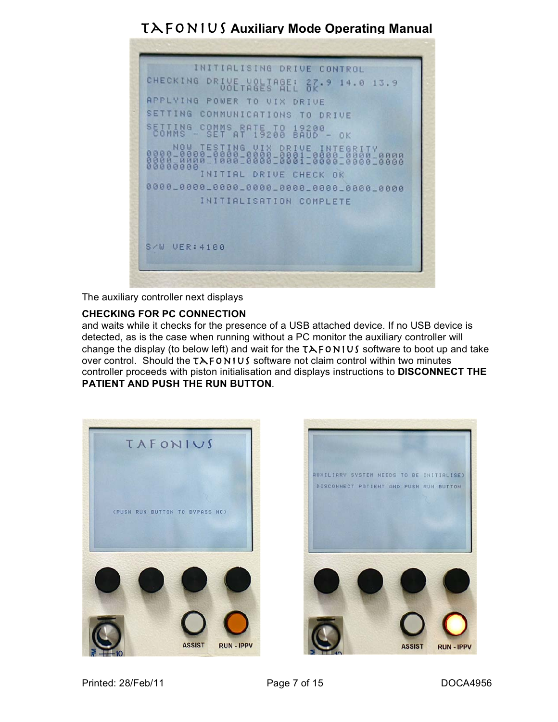

The auxiliary controller next displays

#### **CHECKING FOR PC CONNECTION**

and waits while it checks for the presence of a USB attached device. If no USB device is detected, as is the case when running without a PC monitor the auxiliary controller will change the display (to below left) and wait for the  $T\lambda$ FONIUS software to boot up and take over control. Should the  $TAFONIUS$  software not claim control within two minutes controller proceeds with piston initialisation and displays instructions to **DISCONNECT THE PATIENT AND PUSH THE RUN BUTTON**.



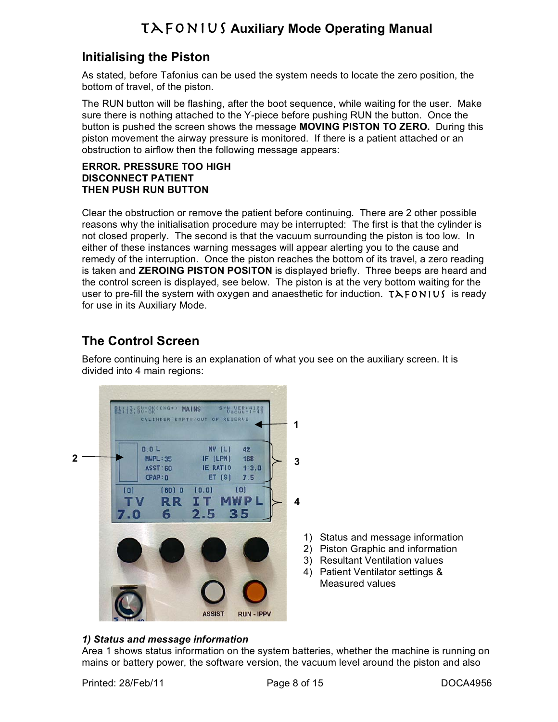## **Initialising the Piston**

As stated, before Tafonius can be used the system needs to locate the zero position, the bottom of travel, of the piston.

The RUN button will be flashing, after the boot sequence, while waiting for the user. Make sure there is nothing attached to the Y-piece before pushing RUN the button. Once the button is pushed the screen shows the message **MOVING PISTON TO ZERO.** During this piston movement the airway pressure is monitored. If there is a patient attached or an obstruction to airflow then the following message appears:

#### **ERROR. PRESSURE TOO HIGH DISCONNECT PATIENT THEN PUSH RUN BUTTON**

Clear the obstruction or remove the patient before continuing. There are 2 other possible reasons why the initialisation procedure may be interrupted: The first is that the cylinder is not closed properly. The second is that the vacuum surrounding the piston is too low. In either of these instances warning messages will appear alerting you to the cause and remedy of the interruption. Once the piston reaches the bottom of its travel, a zero reading is taken and **ZEROING PISTON POSITON** is displayed briefly. Three beeps are heard and the control screen is displayed, see below. The piston is at the very bottom waiting for the user to pre-fill the system with oxygen and anaesthetic for induction.  $TAFONIUS$  is ready for use in its Auxiliary Mode.

## **The Control Screen**

Before continuing here is an explanation of what you see on the auxiliary screen. It is divided into 4 main regions:



#### *1) Status and message information*

Area 1 shows status information on the system batteries, whether the machine is running on mains or battery power, the software version, the vacuum level around the piston and also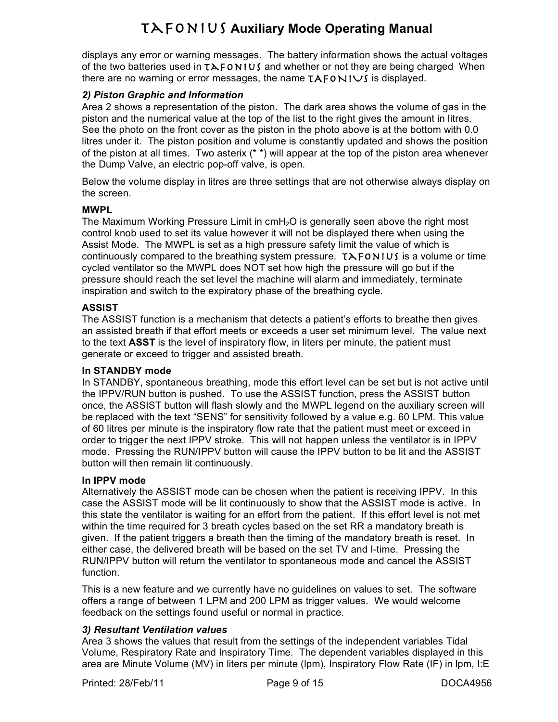displays any error or warning messages. The battery information shows the actual voltages of the two batteries used in  $T\lambda$ FONIUS and whether or not they are being charged When there are no warning or error messages, the name  $TAFONIUS$  is displayed.

#### *2) Piston Graphic and Information*

Area 2 shows a representation of the piston. The dark area shows the volume of gas in the piston and the numerical value at the top of the list to the right gives the amount in litres. See the photo on the front cover as the piston in the photo above is at the bottom with 0.0 litres under it. The piston position and volume is constantly updated and shows the position of the piston at all times. Two asterix (\* \*) will appear at the top of the piston area whenever the Dump Valve, an electric pop-off valve, is open.

Below the volume display in litres are three settings that are not otherwise always display on the screen.

#### **MWPL**

The Maximum Working Pressure Limit in  $cmH<sub>2</sub>O$  is generally seen above the right most control knob used to set its value however it will not be displayed there when using the Assist Mode. The MWPL is set as a high pressure safety limit the value of which is continuously compared to the breathing system pressure.  $TAFONIUS$  is a volume or time cycled ventilator so the MWPL does NOT set how high the pressure will go but if the pressure should reach the set level the machine will alarm and immediately, terminate inspiration and switch to the expiratory phase of the breathing cycle.

#### **ASSIST**

The ASSIST function is a mechanism that detects a patient's efforts to breathe then gives an assisted breath if that effort meets or exceeds a user set minimum level. The value next to the text **ASST** is the level of inspiratory flow, in liters per minute, the patient must generate or exceed to trigger and assisted breath.

#### **In STANDBY mode**

In STANDBY, spontaneous breathing, mode this effort level can be set but is not active until the IPPV/RUN button is pushed. To use the ASSIST function, press the ASSIST button once, the ASSIST button will flash slowly and the MWPL legend on the auxiliary screen will be replaced with the text "SENS" for sensitivity followed by a value e.g. 60 LPM. This value of 60 litres per minute is the inspiratory flow rate that the patient must meet or exceed in order to trigger the next IPPV stroke. This will not happen unless the ventilator is in IPPV mode. Pressing the RUN/IPPV button will cause the IPPV button to be lit and the ASSIST button will then remain lit continuously.

#### **In IPPV mode**

Alternatively the ASSIST mode can be chosen when the patient is receiving IPPV. In this case the ASSIST mode will be lit continuously to show that the ASSIST mode is active. In this state the ventilator is waiting for an effort from the patient. If this effort level is not met within the time required for 3 breath cycles based on the set RR a mandatory breath is given. If the patient triggers a breath then the timing of the mandatory breath is reset. In either case, the delivered breath will be based on the set TV and I-time. Pressing the RUN/IPPV button will return the ventilator to spontaneous mode and cancel the ASSIST function.

This is a new feature and we currently have no guidelines on values to set. The software offers a range of between 1 LPM and 200 LPM as trigger values. We would welcome feedback on the settings found useful or normal in practice.

#### *3) Resultant Ventilation values*

Area 3 shows the values that result from the settings of the independent variables Tidal Volume, Respiratory Rate and Inspiratory Time. The dependent variables displayed in this area are Minute Volume (MV) in liters per minute (lpm), Inspiratory Flow Rate (IF) in lpm, I:E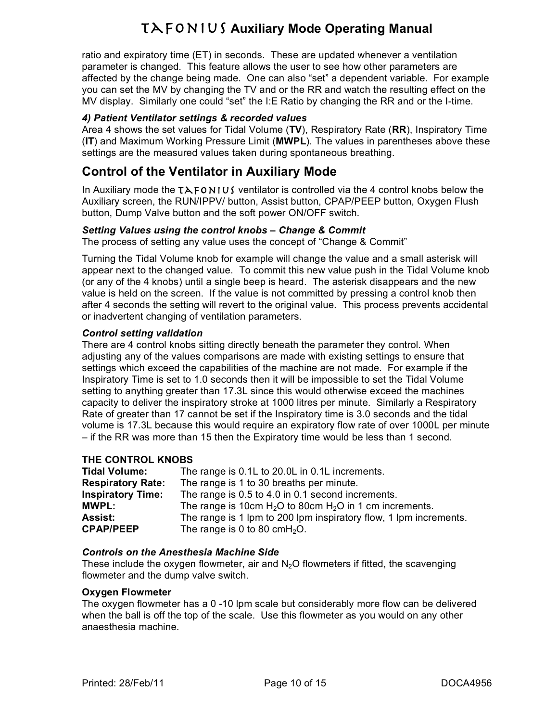ratio and expiratory time (ET) in seconds. These are updated whenever a ventilation parameter is changed. This feature allows the user to see how other parameters are affected by the change being made. One can also "set" a dependent variable. For example you can set the MV by changing the TV and or the RR and watch the resulting effect on the MV display. Similarly one could "set" the I:E Ratio by changing the RR and or the I-time.

#### *4) Patient Ventilator settings & recorded values*

Area 4 shows the set values for Tidal Volume (**TV**), Respiratory Rate (**RR**), Inspiratory Time (**IT**) and Maximum Working Pressure Limit (**MWPL**). The values in parentheses above these settings are the measured values taken during spontaneous breathing.

### **Control of the Ventilator in Auxiliary Mode**

In Auxiliary mode the  $TAFONIUS$  ventilator is controlled via the 4 control knobs below the Auxiliary screen, the RUN/IPPV/ button, Assist button, CPAP/PEEP button, Oxygen Flush button, Dump Valve button and the soft power ON/OFF switch.

#### *Setting Values using the control knobs – Change & Commit*

The process of setting any value uses the concept of "Change & Commit"

Turning the Tidal Volume knob for example will change the value and a small asterisk will appear next to the changed value. To commit this new value push in the Tidal Volume knob (or any of the 4 knobs) until a single beep is heard. The asterisk disappears and the new value is held on the screen. If the value is not committed by pressing a control knob then after 4 seconds the setting will revert to the original value. This process prevents accidental or inadvertent changing of ventilation parameters.

#### *Control setting validation*

There are 4 control knobs sitting directly beneath the parameter they control. When adjusting any of the values comparisons are made with existing settings to ensure that settings which exceed the capabilities of the machine are not made. For example if the Inspiratory Time is set to 1.0 seconds then it will be impossible to set the Tidal Volume setting to anything greater than 17.3L since this would otherwise exceed the machines capacity to deliver the inspiratory stroke at 1000 litres per minute. Similarly a Respiratory Rate of greater than 17 cannot be set if the Inspiratory time is 3.0 seconds and the tidal volume is 17.3L because this would require an expiratory flow rate of over 1000L per minute – if the RR was more than 15 then the Expiratory time would be less than 1 second.

#### **THE CONTROL KNOBS**

| <b>Tidal Volume:</b>     | The range is 0.1L to 20.0L in 0.1L increments.                    |
|--------------------------|-------------------------------------------------------------------|
| <b>Respiratory Rate:</b> | The range is 1 to 30 breaths per minute.                          |
| <b>Inspiratory Time:</b> | The range is 0.5 to 4.0 in 0.1 second increments.                 |
| <b>MWPL:</b>             | The range is 10cm $H_2O$ to 80cm $H_2O$ in 1 cm increments.       |
| Assist:                  | The range is 1 lpm to 200 lpm inspiratory flow, 1 lpm increments. |
| <b>CPAP/PEEP</b>         | The range is 0 to 80 $cmH2O$ .                                    |

#### *Controls on the Anesthesia Machine Side*

These include the oxygen flowmeter, air and  $N<sub>2</sub>O$  flowmeters if fitted, the scavenging flowmeter and the dump valve switch.

#### **Oxygen Flowmeter**

The oxygen flowmeter has a 0 -10 lpm scale but considerably more flow can be delivered when the ball is off the top of the scale. Use this flowmeter as you would on any other anaesthesia machine.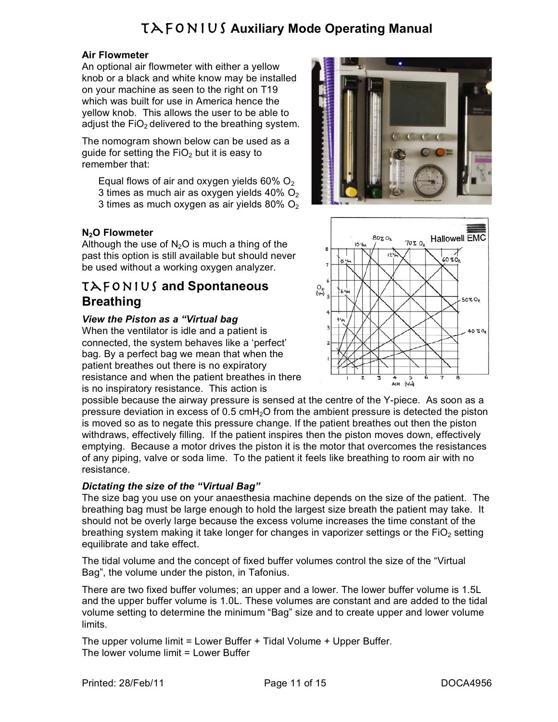#### **Air Flowmeter**

An optional air flowmeter with either a yellow knob or a black and white know may be installed on your machine as seen to the right on T19 which was built for use in America hence the yellow knob. This allows the user to be able to adjust the  $FiO<sub>2</sub>$  delivered to the breathing system.

The nomogram shown below can be used as a quide for setting the  $FiO<sub>2</sub>$  but it is easy to remember that:

Equal flows of air and oxygen yields  $60\%$  O<sub>2</sub> 3 times as much air as oxygen yields  $40\%$  O<sub>2</sub> 3 times as much oxygen as air yields 80%  $O<sub>2</sub>$ 

#### **N2O Flowmeter**

Although the use of  $N_2O$  is much a thing of the past this option is still available but should never be used without a working oxygen analyzer.

## Tafonius **and Spontaneous Breathing**

#### *View the Piston as a "Virtual bag*

When the ventilator is idle and a patient is connected, the system behaves like a 'perfect' bag. By a perfect bag we mean that when the patient breathes out there is no expiratory resistance and when the patient breathes in there is no inspiratory resistance. This action is





possible because the airway pressure is sensed at the centre of the Y-piece. As soon as a pressure deviation in excess of 0.5 cmH<sub>2</sub>O from the ambient pressure is detected the piston is moved so as to negate this pressure change. If the patient breathes out then the piston withdraws, effectively filling. If the patient inspires then the piston moves down, effectively emptying. Because a motor drives the piston it is the motor that overcomes the resistances of any piping, valve or soda lime. To the patient it feels like breathing to room air with no resistance.

#### *Dictating the size of the "Virtual Bag"*

The size bag you use on your anaesthesia machine depends on the size of the patient. The breathing bag must be large enough to hold the largest size breath the patient may take. It should not be overly large because the excess volume increases the time constant of the breathing system making it take longer for changes in vaporizer settings or the  $FiO<sub>2</sub>$  setting equilibrate and take effect.

The tidal volume and the concept of fixed buffer volumes control the size of the "Virtual Bag", the volume under the piston, in Tafonius.

There are two fixed buffer volumes; an upper and a lower. The lower buffer volume is 1.5L and the upper buffer volume is 1.0L. These volumes are constant and are added to the tidal volume setting to determine the minimum "Bag" size and to create upper and lower volume limits.

The upper volume limit = Lower Buffer + Tidal Volume + Upper Buffer. The lower volume limit = Lower Buffer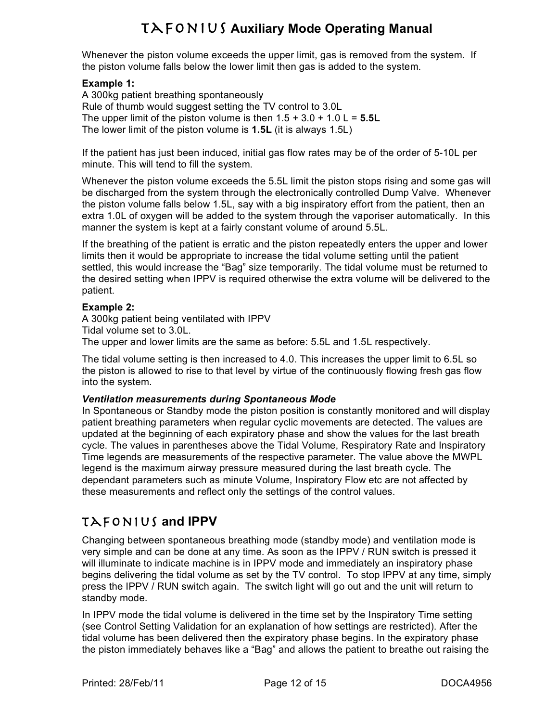Whenever the piston volume exceeds the upper limit, gas is removed from the system. If the piston volume falls below the lower limit then gas is added to the system.

#### **Example 1:**

A 300kg patient breathing spontaneously Rule of thumb would suggest setting the TV control to 3.0L The upper limit of the piston volume is then  $1.5 + 3.0 + 1.0$  L =  $5.5$ L The lower limit of the piston volume is **1.5L** (it is always 1.5L)

If the patient has just been induced, initial gas flow rates may be of the order of 5-10L per minute. This will tend to fill the system.

Whenever the piston volume exceeds the 5.5L limit the piston stops rising and some gas will be discharged from the system through the electronically controlled Dump Valve. Whenever the piston volume falls below 1.5L, say with a big inspiratory effort from the patient, then an extra 1.0L of oxygen will be added to the system through the vaporiser automatically. In this manner the system is kept at a fairly constant volume of around 5.5L.

If the breathing of the patient is erratic and the piston repeatedly enters the upper and lower limits then it would be appropriate to increase the tidal volume setting until the patient settled, this would increase the "Bag" size temporarily. The tidal volume must be returned to the desired setting when IPPV is required otherwise the extra volume will be delivered to the patient.

#### **Example 2:**

A 300kg patient being ventilated with IPPV Tidal volume set to 3.0L. The upper and lower limits are the same as before: 5.5L and 1.5L respectively.

The tidal volume setting is then increased to 4.0. This increases the upper limit to 6.5L so the piston is allowed to rise to that level by virtue of the continuously flowing fresh gas flow into the system.

#### *Ventilation measurements during Spontaneous Mode*

In Spontaneous or Standby mode the piston position is constantly monitored and will display patient breathing parameters when regular cyclic movements are detected. The values are updated at the beginning of each expiratory phase and show the values for the last breath cycle. The values in parentheses above the Tidal Volume, Respiratory Rate and Inspiratory Time legends are measurements of the respective parameter. The value above the MWPL legend is the maximum airway pressure measured during the last breath cycle. The dependant parameters such as minute Volume, Inspiratory Flow etc are not affected by these measurements and reflect only the settings of the control values.

## Tafonius **and IPPV**

Changing between spontaneous breathing mode (standby mode) and ventilation mode is very simple and can be done at any time. As soon as the IPPV / RUN switch is pressed it will illuminate to indicate machine is in IPPV mode and immediately an inspiratory phase begins delivering the tidal volume as set by the TV control. To stop IPPV at any time, simply press the IPPV / RUN switch again. The switch light will go out and the unit will return to standby mode.

In IPPV mode the tidal volume is delivered in the time set by the Inspiratory Time setting (see Control Setting Validation for an explanation of how settings are restricted). After the tidal volume has been delivered then the expiratory phase begins. In the expiratory phase the piston immediately behaves like a "Bag" and allows the patient to breathe out raising the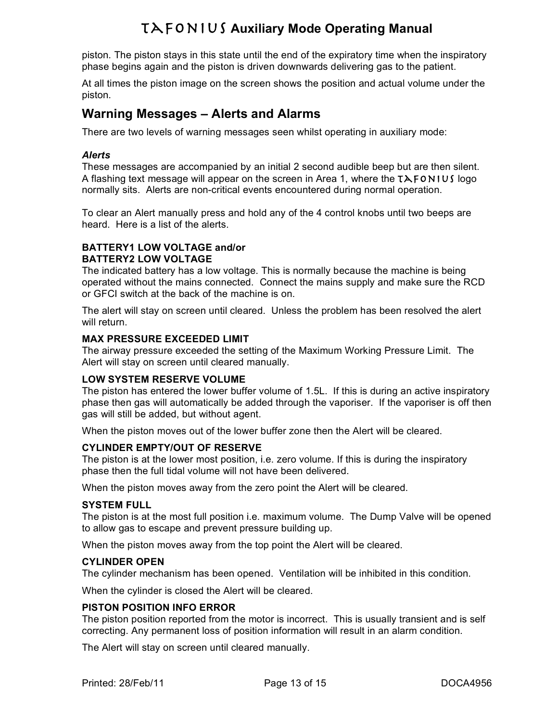piston. The piston stays in this state until the end of the expiratory time when the inspiratory phase begins again and the piston is driven downwards delivering gas to the patient.

At all times the piston image on the screen shows the position and actual volume under the piston.

## **Warning Messages – Alerts and Alarms**

There are two levels of warning messages seen whilst operating in auxiliary mode:

#### *Alerts*

These messages are accompanied by an initial 2 second audible beep but are then silent. A flashing text message will appear on the screen in Area 1, where the  $TAFONIUJ$  logo normally sits. Alerts are non-critical events encountered during normal operation.

To clear an Alert manually press and hold any of the 4 control knobs until two beeps are heard. Here is a list of the alerts.

#### **BATTERY1 LOW VOLTAGE and/or BATTERY2 LOW VOLTAGE**

The indicated battery has a low voltage. This is normally because the machine is being operated without the mains connected. Connect the mains supply and make sure the RCD or GFCI switch at the back of the machine is on.

The alert will stay on screen until cleared. Unless the problem has been resolved the alert will return.

#### **MAX PRESSURE EXCEEDED LIMIT**

The airway pressure exceeded the setting of the Maximum Working Pressure Limit. The Alert will stay on screen until cleared manually.

#### **LOW SYSTEM RESERVE VOLUME**

The piston has entered the lower buffer volume of 1.5L. If this is during an active inspiratory phase then gas will automatically be added through the vaporiser. If the vaporiser is off then gas will still be added, but without agent.

When the piston moves out of the lower buffer zone then the Alert will be cleared.

#### **CYLINDER EMPTY/OUT OF RESERVE**

The piston is at the lower most position, i.e. zero volume. If this is during the inspiratory phase then the full tidal volume will not have been delivered.

When the piston moves away from the zero point the Alert will be cleared.

#### **SYSTEM FULL**

The piston is at the most full position i.e. maximum volume. The Dump Valve will be opened to allow gas to escape and prevent pressure building up.

When the piston moves away from the top point the Alert will be cleared.

#### **CYLINDER OPEN**

The cylinder mechanism has been opened. Ventilation will be inhibited in this condition.

When the cylinder is closed the Alert will be cleared.

#### **PISTON POSITION INFO ERROR**

The piston position reported from the motor is incorrect. This is usually transient and is self correcting. Any permanent loss of position information will result in an alarm condition.

The Alert will stay on screen until cleared manually.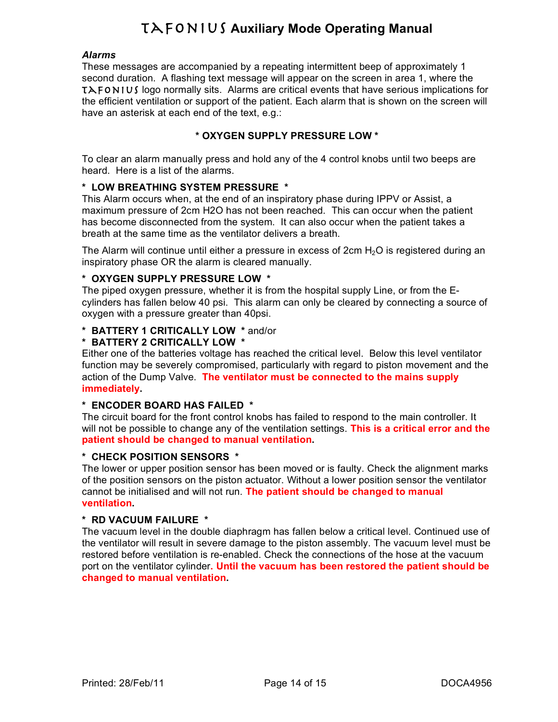#### *Alarms*

These messages are accompanied by a repeating intermittent beep of approximately 1 second duration. A flashing text message will appear on the screen in area 1, where the  $T\lambda$  FONIUS logo normally sits. Alarms are critical events that have serious implications for the efficient ventilation or support of the patient. Each alarm that is shown on the screen will have an asterisk at each end of the text, e.g.:

#### **\* OXYGEN SUPPLY PRESSURE LOW \***

To clear an alarm manually press and hold any of the 4 control knobs until two beeps are heard. Here is a list of the alarms.

#### **\* LOW BREATHING SYSTEM PRESSURE \***

This Alarm occurs when, at the end of an inspiratory phase during IPPV or Assist, a maximum pressure of 2cm H2O has not been reached. This can occur when the patient has become disconnected from the system. It can also occur when the patient takes a breath at the same time as the ventilator delivers a breath.

The Alarm will continue until either a pressure in excess of  $2 \text{cm H}_2\text{O}$  is registered during an inspiratory phase OR the alarm is cleared manually.

#### **\* OXYGEN SUPPLY PRESSURE LOW \***

The piped oxygen pressure, whether it is from the hospital supply Line, or from the Ecylinders has fallen below 40 psi. This alarm can only be cleared by connecting a source of oxygen with a pressure greater than 40psi.

#### **\* BATTERY 1 CRITICALLY LOW \*** and/or

#### **\* BATTERY 2 CRITICALLY LOW \***

Either one of the batteries voltage has reached the critical level. Below this level ventilator function may be severely compromised, particularly with regard to piston movement and the action of the Dump Valve. **The ventilator must be connected to the mains supply immediately.**

#### **\* ENCODER BOARD HAS FAILED \***

The circuit board for the front control knobs has failed to respond to the main controller. It will not be possible to change any of the ventilation settings. **This is a critical error and the patient should be changed to manual ventilation.**

#### **\* CHECK POSITION SENSORS \***

The lower or upper position sensor has been moved or is faulty. Check the alignment marks of the position sensors on the piston actuator. Without a lower position sensor the ventilator cannot be initialised and will not run. **The patient should be changed to manual ventilation.**

#### **\* RD VACUUM FAILURE \***

The vacuum level in the double diaphragm has fallen below a critical level. Continued use of the ventilator will result in severe damage to the piston assembly. The vacuum level must be restored before ventilation is re-enabled. Check the connections of the hose at the vacuum port on the ventilator cylinder**. Until the vacuum has been restored the patient should be changed to manual ventilation.**